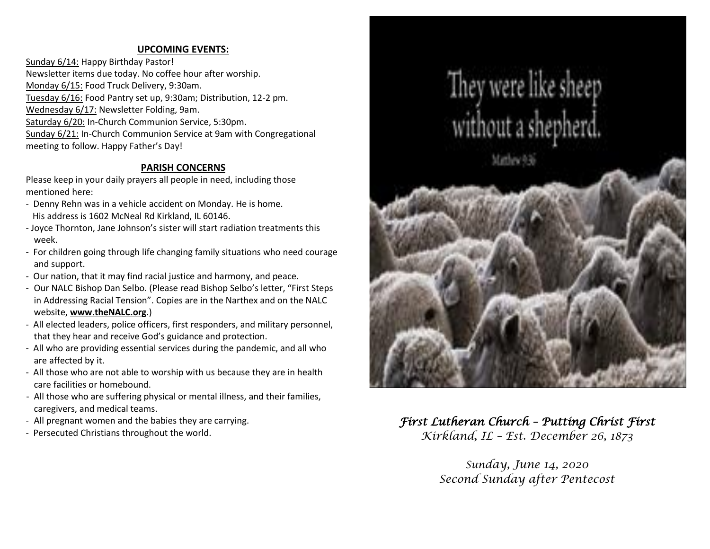# **UPCOMING EVENTS:**

Sunday 6/14: Happy Birthday Pastor! Newsletter items due today. No coffee hour after worship. Monday 6/15: Food Truck Delivery, 9:30am. Tuesday 6/16: Food Pantry set up, 9:30am; Distribution, 12-2 pm. Wednesday 6/17: Newsletter Folding, 9am. Saturday 6/20: In-Church Communion Service, 5:30pm. Sunday 6/21: In-Church Communion Service at 9am with Congregational meeting to follow. Happy Father's Day!

## **PARISH CONCERNS**

Please keep in your daily prayers all people in need, including those mentioned here:

- Denny Rehn was in a vehicle accident on Monday. He is home. His address is 1602 McNeal Rd Kirkland, IL 60146.
- Joyce Thornton, Jane Johnson's sister will start radiation treatments this week.
- For children going through life changing family situations who need courage and support.
- Our nation, that it may find racial justice and harmony, and peace.
- Our NALC Bishop Dan Selbo. (Please read Bishop Selbo's letter, "First Steps in Addressing Racial Tension". Copies are in the Narthex and on the NALC website, **[www.theNALC.org](http://www.thenalc.org/)**.)
- All elected leaders, police officers, first responders, and military personnel, that they hear and receive God's guidance and protection.
- All who are providing essential services during the pandemic, and all who are affected by it.
- All those who are not able to worship with us because they are in health care facilities or homebound.
- All those who are suffering physical or mental illness, and their families, caregivers, and medical teams.
- All pregnant women and the babies they are carrying.
- Persecuted Christians throughout the world.



*First Lutheran Church – Putting Christ First Kirkland, IL – Est. December 26, 1873*

> *Sunday, June 14, 2020 Second Sunday after Pentecost*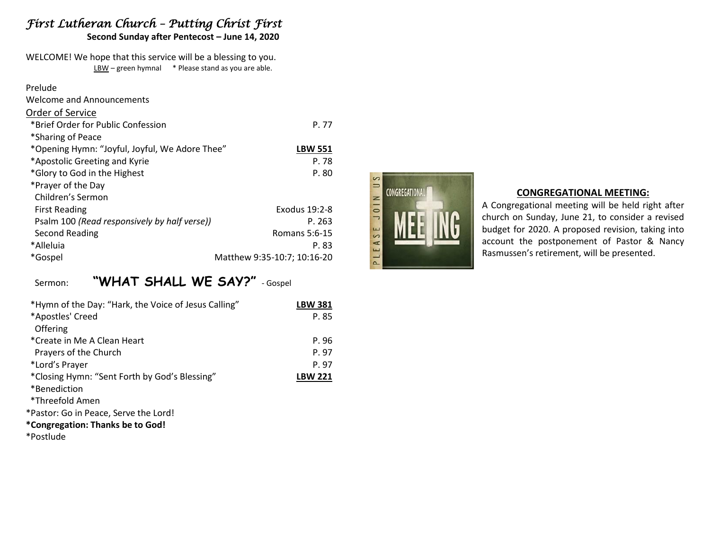# *First Lutheran Church – Putting Christ First*

**Second Sunday after Pentecost – June 14, 2020**

WELCOME! We hope that this service will be a blessing to you. LBW – green hymnal \* Please stand as you are able.

| Prelude                                        |                             |
|------------------------------------------------|-----------------------------|
| <b>Welcome and Announcements</b>               |                             |
| Order of Service                               |                             |
| *Brief Order for Public Confession             | P. 77                       |
| *Sharing of Peace                              |                             |
| *Opening Hymn: "Joyful, Joyful, We Adore Thee" | <b>LBW 551</b>              |
| *Apostolic Greeting and Kyrie                  | P. 78                       |
| *Glory to God in the Highest                   | P.80                        |
| *Prayer of the Day                             |                             |
| Children's Sermon                              |                             |
| <b>First Reading</b>                           | Exodus 19:2-8               |
| Psalm 100 (Read responsively by half verse))   | P. 263                      |
| Second Reading                                 | Romans 5:6-15               |
| *Alleluia                                      | P. 83                       |
| *Gospel                                        | Matthew 9:35-10:7; 10:16-20 |

# Sermon: **"WHAT SHALL WE SAY?"** - Gospel

| *Hymn of the Day: "Hark, the Voice of Jesus Calling" | <b>LBW 381</b> |
|------------------------------------------------------|----------------|
| *Apostles' Creed                                     | P.85           |
| Offering                                             |                |
| *Create in Me A Clean Heart                          | P.96           |
| Prayers of the Church                                | P. 97          |
| *Lord's Prayer                                       | P. 97          |
| *Closing Hymn: "Sent Forth by God's Blessing"        | <b>LBW 221</b> |
| *Benediction                                         |                |
| *Threefold Amen                                      |                |
| *Pastor: Go in Peace, Serve the Lord!                |                |
| *Congregation: Thanks be to God!                     |                |
| .                                                    |                |





### **CONGREGATIONAL MEETING:**

A Congregational meeting will be held right after church on Sunday, June 21, to consider a revised budget for 2020. A proposed revision, taking into account the postponement of Pastor & Nancy Rasmussen's retirement, will be presented.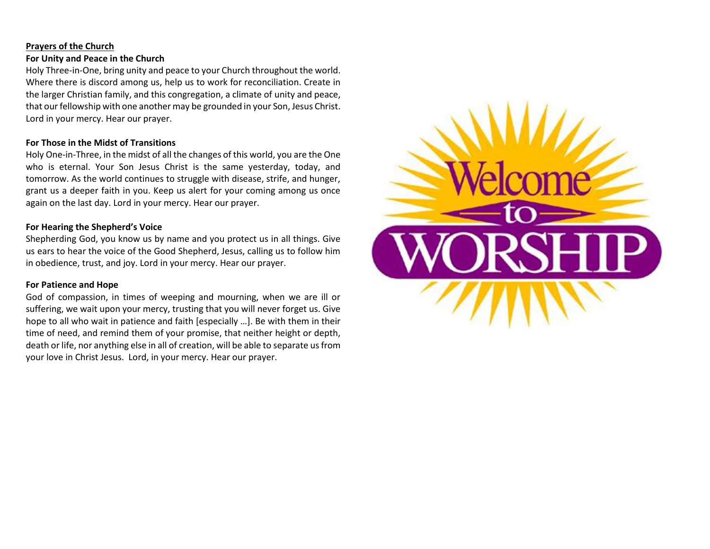#### **Prayers of the Church**

## **For Unity and Peace in the Church**

Holy Three-in-One, bring unity and peace to your Church throughout the world. Where there is discord among us, help us to work for reconciliation. Create in the larger Christian family, and this congregation, a climate of unity and peace, that our fellowship with one another may be grounded in your Son, Jesus Christ. Lord in your mercy. Hear our prayer.

## **For Those in the Midst of Transitions**

Holy One-in-Three, in the midst of all the changes of this world, you are the One who is eternal. Your Son Jesus Christ is the same yesterday, today, and tomorrow. As the world continues to struggle with disease, strife, and hunger, grant us a deeper faith in you. Keep us alert for your coming among us once again on the last day. Lord in your mercy. Hear our prayer.

### **For Hearing the Shepherd's Voice**

Shepherding God, you know us by name and you protect us in all things. Give us ears to hear the voice of the Good Shepherd, Jesus, calling us to follow him in obedience, trust, and joy. Lord in your mercy. Hear our prayer.

### **For Patience and Hope**

God of compassion, in times of weeping and mourning, when we are ill or suffering, we wait upon your mercy, trusting that you will never forget us. Give hope to all who wait in patience and faith [especially …]. Be with them in their time of need, and remind them of your promise, that neither height or depth, death or life, nor anything else in all of creation, will be able to separate us from your love in Christ Jesus. Lord, in your mercy. Hear our prayer.